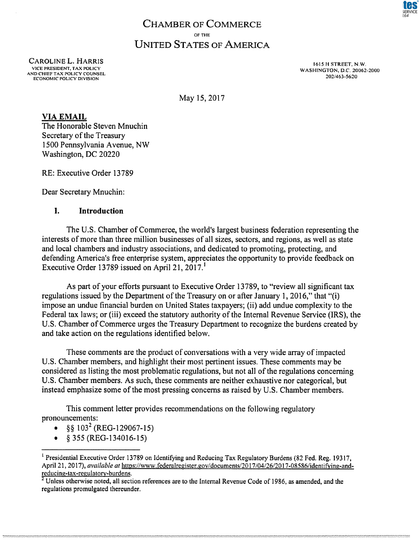# **CHAMBER OF COMMERCE** OF THE **UNITED STATES OF AMERICA**

CAROLINE L. HARRIS VICE PRESIDENT, TAX POLICY AND CHIEF TAX POLICY COUNSEL ECONOMIC POLICY DIVISION

1615 H STREET, N.W. WASHINGTON, D.C. 20062-2000 202/463-5620

May 15, 2017

## **VIA EMAIL**

The Honorable Steven Mnuchin Secretary of the Treasury 1500 Pennsylvania Avenue, NW Washington, DC 20220

RE; Executive Order 13789

Dear Secretary Mnuchin:

#### **1. Introduction**

The U.S. Chamber of Commerce, the world's largest business federation representing the interests of more than three million businesses of all sizes, sectors, and regions, as well as state and local chambers and industry associations, and dedicated to promoting, protecting, and defending America's free enterprise system, appreciates the opportunity to provide feedback on Executive Order 13789 issued on April 21, 2017.<sup>1</sup>

As part of your efforts pursuant to Executive Order 13789, to "review all significant tax regulations issued by the Department of the Treasury on or after January 1, 2016," that "(i) impose an undue financial burden on United States taxpayers; (ii) add undue complexity to the Federal tax laws; or (iii) exceed the statutory authority of the Internal Revenue Service (IRS), the U.S. Chamber of Commerce urges the Treasury Department to recognize the burdens created by and take action on the regulations identified below.

These comments are the product of conversations with a very wide array of impacted U.S. Chamber members, and highlight their most pertinent issues. These comments may be considered as listing the most problematic regulations, but not all of the regulations concerning U.S. Chamber members. As such, these comments are neither exhaustive nor categorical, but instead emphasize some of the most pressing concerns as raised by U.S. Chamber members.

This comment letter provides recommendations on the following regulatory pronouncements:

- $§$ § 103<sup>2</sup> (REG-129067-15)
- § 355 (REG-134016-15)

<sup>&</sup>lt;sup>1</sup> Presidential Executive Order 13789 on Identifying and Reducing Tax Regulatory Burdens (82 Fed. Reg. 19317, April 21, 2017), *available at* [https://www.federalregister.gov/documents/2017/04/26/2017-08586/identifying-and](https://www.federaIregister.gov/documenls/2017/04/26/2017-08586/identifying-and-reducing-tax-regulatory-burdens)[reducing-tax-regulatory-burdens.](https://www.federaIregister.gov/documenls/2017/04/26/2017-08586/identifying-and-reducing-tax-regulatory-burdens)

<sup>&</sup>lt;sup>2</sup> Unless otherwise noted, all section references are to the Internal Revenue Code of 1986, as amended, and the regulations promulgated thereunder.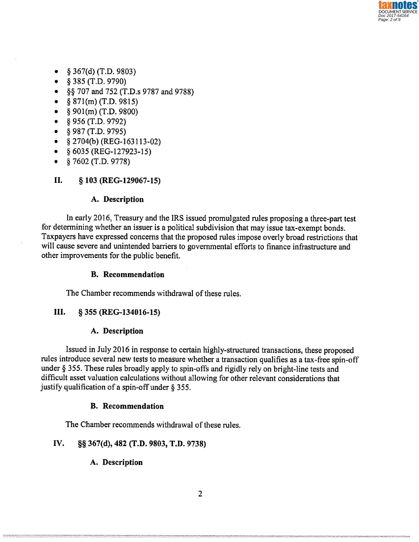- $\bullet$  § 367(d) (T.D. 9803)
- § 385 (T.D. 9790)
- §§ 707 and 752 (T.D.s 9787 and 9788)
- $§ 871(m)$  (T.D. 9815)
- $$901(m)$  (T.D. 9800)
- § 956 (T.D. 9792)
- § 987 (T.D. 9795)
- § 2704(b) (REG-163113-02)
- §6035 (REG-127923-15)
- § 7602 (T.D. 9778)

# **II. § 103 (REG-129067-15)**

## **A. Description**

In early 2016, Treasury and the IRS issued promulgated rules proposing a three-part test for determining whether an issuer is a political subdivision that may issue tax-exempt bonds. Taxpayers have expressed concerns that the proposed rules impose overly broad restrictions that will cause severe and unintended barriers to governmental efforts to finance infrastructure and other improvements for the public benefit.

## **B. Recommendation**

The Chamber recommends withdrawal of these rules.

## **III. § 355 (REG-134016-15)**

## **A. Description**

Issued in July 2016 in response to certain highly-structured transactions, these proposed rules introduce several new tests to measure whether a transaction qualifies as a tax-free spin-off under § 355. These rules broadly apply to spin-offs and rigidly rely on bright-line tests and difficult asset valuation calculations without allowing for other relevant considerations that justify qualification of a spin-off under § 355.

## **B. Recommendation**

The Chamber recommends withdrawal of these rules.

## **IV. §§ 367(d), 482 (T.D. 9803, T.D. 9738)**

**A. Description**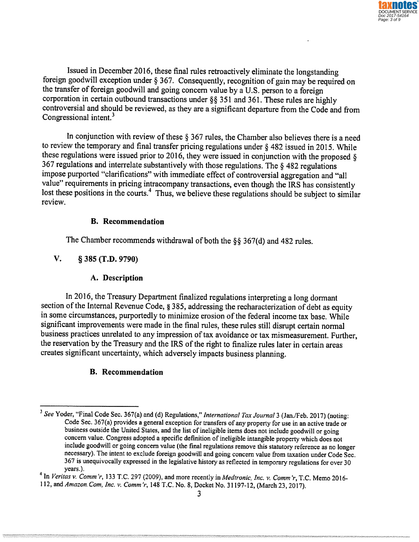Issued in December 2016, these final rules retroactively eliminate the longstanding foreign goodwill exception under § 367. Consequently, recognition of gain may be required on the transfer of foreign goodwill and going concern value by a U.S, person to a foreign corporation in certain outbound transactions under §§ 351 and 361. These rules are highly controversial and should be reviewed, as they are a significant departure from the Code and from Congressional intent. $3$ 

In conjunction with review of these  $\S 367$  rules, the Chamber also believes there is a need to review the temporary and final transfer pricing regulations under  $\S$  482 issued in 2015. While these regulations were issued prior to 2016, they were issued in conjunction with the proposed § 367 regulations and interrelate substantively with those regulations. The § 482 regulations impose purported "clarifications" with immediate effect of controversial aggregation and "all value" requirements in pricing intracompany transactions, even though the IRS has consistently lost these positions in the courts.<sup>4</sup> Thus, we believe these regulations should be subject to similar review.

## **B. Recommendation**

The Chamber recommends withdrawal of both the §§ 367(d) and 482 rules.

# **V. § 385 (T.D. 9790)**

## **A. Description**

In 2016, the Treasury Department finalized regulations interpreting a long dormant section of the Internal Revenue Code, § 385, addressing the recharacterization of debt as equity in some circumstances, purportedly to minimize erosion of the federal income tax base. While significant improvements were made in the final rules, these rules still disrupt certain normal business practices unrelated to any impression of tax avoidance or tax mismeasurement. Further, the reservation by the Treasury and the IRS of the right to finalize rules later in certain areas creates significant uncertainty, which adversely impacts business planning.

## **B. Recommendation**

<sup>3</sup> *See* Yoder, "Final Code Sec. 367(a) and (d) Regulations," *International Tax Journal* 3 (Jan./Feb. 2017) (noting: Code Sec. 367(a) provides a general exception for transfers of any property for use in an active trade or business outside the United States, and the list of ineligible items does not include goodwill or going concern value. Congress adopted a specific definition of ineligible intangible property which does not include goodwill or going concern value (the final regulations remove this statutory reference as no longer necessary). The intent to exclude foreign goodwill and going concern value from taxation under Code Sec. 367 is unequivocally expressed in the legislative history as reflected in temporary regulations for over 30 years.).

<sup>4</sup> In *Veritas v. Comm*'r, 133 T.C. 297 (2009), and more recently in *Medtronic, Inc. v. Comm'r*, T.C. Memo 2016- 112, and *<Amazon.com>, Inc. v. Comm'r*, 148 T.C. No, 8, Docket No. 31197-12, (March 23, 2017).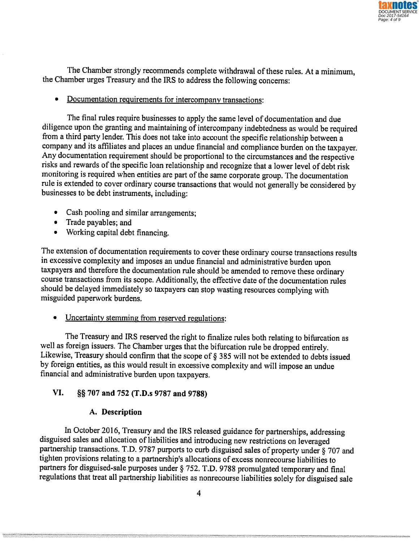The Chamber strongly recommends complete withdrawal of these rules. At a minimum, the Chamber urges Treasury and the IRS to address the following concerns:

• Documentation requirements for intercompany transactions:

The final rules require businesses to apply the same level of documentation and due diligence upon the granting and maintaining of intercompany indebtedness as would be required from a third party lender. This does not take into account the specific relationship between a company and its affiliates and places an undue financial and compliance burden on the taxpayer. Any documentation requirement should be proportional to the circumstances and the respective risks and rewards of the specific loan relationship and recognize that a lower level of debt risk monitoring is required when entities are part of the same corporate group. The documentation rule is extended to cover ordinary course transactions that would not generally be considered by businesses to be debt instruments, including:

- Cash pooling and similar arrangements;
- Trade payables; and
- Working capital debt financing.

The extension of documentation requirements to cover these ordinary course transactions results in excessive complexity and imposes an undue financial and administrative burden upon taxpayers and therefore the documentation rule should be amended to remove these ordinary course transactions from its scope. Additionally, the effective date of the documentation rules should be delayed immediately so taxpayers can stop wasting resources complying with misguided paperwork burdens.

• Uncertainty stemming from reserved regulations:

The Treasury and IRS reserved the right to finalize rules both relating to bifurcation as well as foreign issuers. The Chamber urges that the bifurcation rule be dropped entirely. Likewise, Treasury should confirm that the scope of § 385 will not be extended to debts issued by foreign entities, as this would result in excessive complexity and will impose an undue financial and administrative burden upon taxpayers.

# **VI. §§ 707 and 752 (T.D.s 9787 and 9788)**

## **A. Description**

In October 2016, Treasury and the IRS released guidance for partnerships, addressing disguised sales and allocation of liabilities and introducing new restrictions on leveraged partnership transactions. T.D. 9787 purports to curb disguised sales of property under § 707 and tighten provisions relating to a partnership's allocations of excess nonrecourse liabilities to partners for disguised-sale purposes under § 752. T.D. 9788 promulgated temporary and final regulations that treat all partnership liabilities as nonrecourse liabilities solely for disguised sale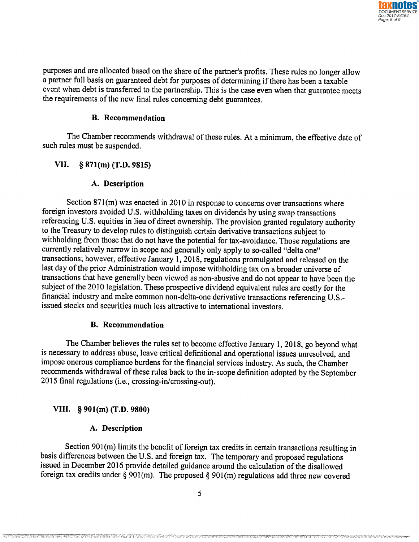purposes and are allocated based on the share of the partner's profits. These rules no longer allow a partner full basis on guaranteed debt for purposes of determining if there has been a taxable event when debt is transferred to the partnership. This is the case even when that guarantee meets the requirements of the new final rules concerning debt guarantees.

#### **B. Recommendation**

The Chamber recommends withdrawal of these rules. At a minimum, the effective date of such rules must be suspended.

#### **VII. § 871(m) (T.D. 9815)**

#### **A. Description**

Section 871(m) was enacted in 2010 in response to concerns over transactions where foreign investors avoided U.S. withholding taxes on dividends by using swap transactions referencing U.S. equities in lieu of direct ownership. The provision granted regulatory authority to the Treasury to develop rules to distinguish certain derivative transactions subject to withholding from those that do not have the potential for tax-avoidance. Those regulations are currently relatively narrow in scope and generally only apply to so-called "delta one" transactions; however, effective January 1, 2018, regulations promulgated and released on the last day of the prior Administration would impose withholding tax on a broader universe of transactions that have generally been viewed as non-abusive and do not appear to have been the subject of the 2010 legislation. These prospective dividend equivalent rules are costly for the financial industry and make common non-delta-one derivative transactions referencing U.S. issued stocks and securities much less attractive to international investors.

#### **B. Recommendation**

The Chamber believes the rules set to become effective January 1, 2018, go beyond what is necessary to address abuse, leave critical definitional and operational issues unresolved, and impose onerous compliance burdens for the financial services industry. As such, the Chamber recommends withdrawal of these rules back to the in-scope definition adopted by the September 2015 final regulations (i.e., crossing-in/crossing-out).

#### **VIII. § 901(m) (T.D. 9800)**

## **A. Description**

Section 901(m) limits the benefit of foreign tax credits in certain transactions resulting in basis differences between the U.S. and foreign tax. The temporary and proposed regulations issued in December 2016 provide detailed guidance around the calculation of the disallowed foreign tax credits under § 901(m). The proposed § 901(m) regulations add three new covered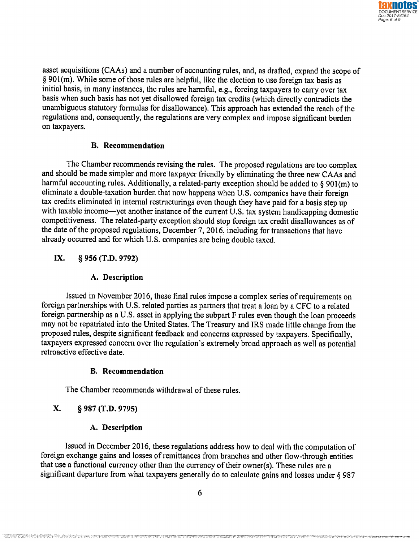asset acquisitions (CAAs) and a number of accounting rules, and, as drafted, expand the scope of § 901(m). While some of those rules are helpful, like the election to use foreign tax basis as initial basis, in many instances, the rules are harmful, e.g., forcing taxpayers to carry over tax basis when such basis has not yet disallowed foreign tax credits (which directly contradicts the unambiguous statutory formulas for disallowance). This approach has extended the reach of the regulations and, consequently, the regulations are very complex and impose significant burden on taxpayers.

#### **B. Recommendation**

The Chamber recommends revising the rules. The proposed regulations are too complex and should be made simpler and more taxpayer friendly by eliminating the three new CAAs and harmful accounting rules. Additionally, a related-party exception should be added to § 901(m) to eliminate a double-taxation burden that now happens when U.S. companies have their foreign tax credits eliminated in internal restructurings even though they have paid for a basis step up with taxable income—yet another instance of the current U.S. tax system handicapping domestic competitiveness. The related-party exception should stop foreign tax credit disallowances as of the date of the proposed regulations, December 7, 2016, including for transactions that have already occurred and for which U.S. companies are being double taxed,

# **IX. § 956 (T.D. 9792)**

## **A. Description**

Issued in November 2016, these final rules impose a complex series of requirements on foreign partnerships with U.S, related parties as partners that treat a loan by a CFC to a related foreign partnership as a U.S. asset in applying the subpart F rules even though the loan proceeds may not be repatriated into the United States, The Treasury and IRS made little change from the proposed rules, despite significant feedback and concerns expressed by taxpayers. Specifically, taxpayers expressed concern over the regulation's extremely broad approach as well as potential retroactive effective date,

## **B. Recommendation**

The Chamber recommends withdrawal of these rules.

# **X. § 987 (T.D. 9795)**

## **A. Description**

Issued in December 2016, these regulations address how to deal with the computation of foreign exchange gains and losses of remittances from branches and other flow-through entities that use a functional currency other than the currency of their owner(s). These rules are a significant departure from what taxpayers generally do to calculate gains and losses under § 987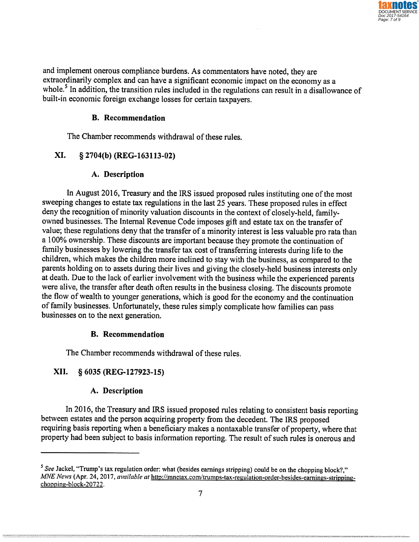and implement onerous compliance burdens. As commentators have noted, they are extraordinarily complex and can have a significant economic impact on the economy as a whole.<sup>5</sup> In addition, the transition rules included in the regulations can result in a disallowance of built-in economic foreign exchange losses for certain taxpayers.

## **B. Recommendation**

The Chamber recommends withdrawal of these rules.

# **XI. § 2704(b) (REG-163113-02)**

# **A. Description**

In August 2016, Treasury and the IRS issued proposed rules instituting one of the most sweeping changes to estate tax regulations in the last 25 years. These proposed rules in effect deny the recognition of minority valuation discounts in the context of closely-held, familyowned businesses. The Internal Revenue Code imposes gift and estate tax on the transfer of value; these regulations deny that the transfer of a minority interest is less valuable pro rata than a 100% ownership. These discounts are important because they promote the continuation of family businesses by lowering the transfer tax cost of transferring interests during life to the children, which makes the children more inclined to stay with the business, as compared to the parents holding on to assets during their lives and giving the closely-held business interests only at death. Due to the lack of earlier involvement with the business while the experienced parents were alive, the transfer after death often results in the business closing. The discounts promote the flow of wealth to younger generations, which is good for the economy and the continuation of family businesses. Unfortunately, these rules simply complicate how families can pass businesses on to the next generation.

# **B. Recommendation**

The Chamber recommends withdrawal of these rules.

# **XII. § 6035 (REG-127923-15)**

# **A. Description**

In 2016, the Treasury and IRS issued proposed rules relating to consistent basis reporting between estates and the person acquiring property from the decedent. The IRS proposed requiring basis reporting when a beneficiary makes a nontaxable transfer of property, where that property had been subject to basis information reporting. The result of such rules is onerous and

*<sup>5</sup> See* Jackel, "Trump's tax regulation order: what (besides earnings stripping) could be on the chopping block?," *MNE News* (Apr. 24, 2017, *available at* [http://mnetax.com/trumps-tax-regulation-order-besides-eamings-stripping](http://mnetax.com/trumps-tax-regulation-order-besides-eamings-stripping-chopping-block-20722)[chopping-block-20722,](http://mnetax.com/trumps-tax-regulation-order-besides-eamings-stripping-chopping-block-20722)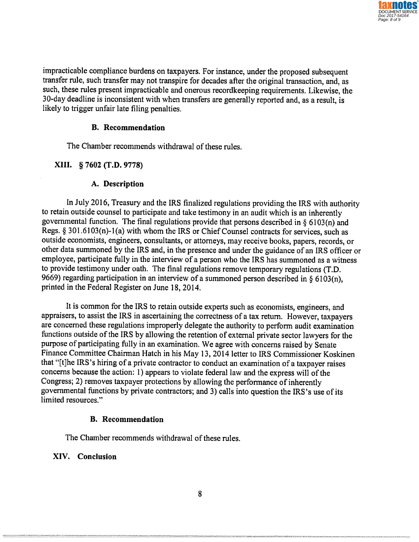impracticable compliance burdens on taxpayers. For instance, under the proposed subsequent transfer rule, such transfer may not transpire for decades after the original transaction, and, as such, these rules present impracticable and onerous recordkeeping requirements. Likewise, the 30-day deadline is inconsistent with when transfers are generally reported and, as a result, is likely to trigger unfair late filing penalties.

#### **B. Recommendation**

The Chamber recommends withdrawal of these rules.

#### **XIII. § 7602 (T.D. 9778)**

#### **A. Description**

In July 2016, Treasury and the IRS finalized regulations providing the IRS with authority to retain outside counsel to participate and take testimony in an audit which is an inherently governmental function. The final regulations provide that persons described in  $\S$  6103(n) and Regs. § 301.6103(n)-1(a) with whom the IRS or Chief Counsel contracts for services, such as outside economists, engineers, consultants, or attorneys, may receive books, papers, records, or other data summoned by the IRS and, in the presence and under the guidance of an IRS officer or employee, participate fully in the interview of a person who the IRS has summoned as a witness to provide testimony under oath. The final regulations remove temporary regulations (T.D. 9669) regarding participation in an interview of a summoned person described in § 6103(n), printed in the Federal Register on June 18, 2014.

It is common for the IRS to retain outside experts such as economists, engineers, and appraisers, to assist the IRS in ascertaining the correctness of a tax return. However, taxpayers are concerned these regulations improperly delegate the authority to perform audit examination functions outside of the IRS by allowing the retention of external private sector lawyers for the purpose of participating fully in an examination. We agree with concerns raised by Senate Finance Committee Chairman Hatch in his May 13, 2014 letter to IRS Commissioner Koskinen that "[t]he IRS's hiring of a private contractor to conduct an examination of a taxpayer raises concerns because the action: 1) appears to violate federal law and the express will of the Congress; 2) removes taxpayer protections by allowing the performance of inherently governmental functions by private contractors; and 3) calls into question the IRS's use of its limited resources,"

#### **B. Recommendation**

The Chamber recommends withdrawal of these rules.

#### **XIV. Conclusion**